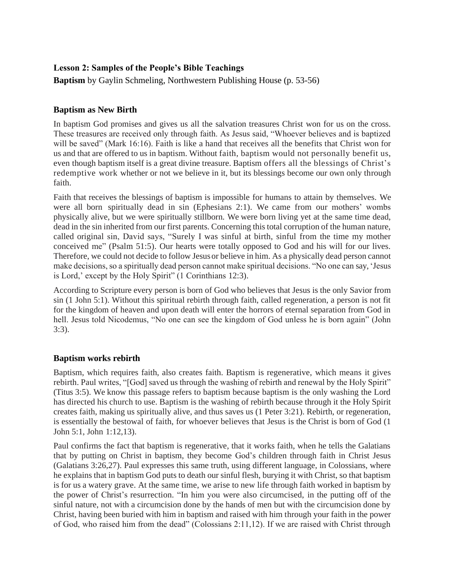## **Lesson 2: Samples of the People's Bible Teachings**

**Baptism** by Gaylin Schmeling, Northwestern Publishing House (p. 53-56)

## **Baptism as New Birth**

In baptism God promises and gives us all the salvation treasures Christ won for us on the cross. These treasures are received only through faith. As Jesus said, "Whoever believes and is baptized will be saved" (Mark 16:16). Faith is like a hand that receives all the benefits that Christ won for us and that are offered to us in baptism. Without faith, baptism would not personally benefit us, even though baptism itself is a great divine treasure. Baptism offers all the blessings of Christ's redemptive work whether or not we believe in it, but its blessings become our own only through faith.

Faith that receives the blessings of baptism is impossible for humans to attain by themselves. We were all born spiritually dead in sin (Ephesians 2:1). We came from our mothers' wombs physically alive, but we were spiritually stillborn. We were born living yet at the same time dead, dead in the sin inherited from our first parents. Concerning this total corruption of the human nature, called original sin, David says, "Surely I was sinful at birth, sinful from the time my mother conceived me" (Psalm 51:5). Our hearts were totally opposed to God and his will for our lives. Therefore, we could not decide to follow Jesusor believe in him. As a physically dead person cannot make decisions, so a spiritually dead person cannot make spiritual decisions. "No one can say, 'Jesus is Lord,' except by the Holy Spirit" (1 Corinthians 12:3).

According to Scripture every person is born of God who believes that Jesus is the only Savior from sin (1 John 5:1). Without this spiritual rebirth through faith, called regeneration, a person is not fit for the kingdom of heaven and upon death will enter the horrors of eternal separation from God in hell. Jesus told Nicodemus, "No one can see the kingdom of God unless he is born again" (John 3:3).

## **Baptism works rebirth**

Baptism, which requires faith, also creates faith. Baptism is regenerative, which means it gives rebirth. Paul writes, "[God] saved us through the washing of rebirth and renewal by the Holy Spirit" (Titus 3:5). We know this passage refers to baptism because baptism is the only washing the Lord has directed his church to use. Baptism is the washing of rebirth because through it the Holy Spirit creates faith, making us spiritually alive, and thus saves us (1 Peter 3:21). Rebirth, or regeneration, is essentially the bestowal of faith, for whoever believes that Jesus is the Christ is born of God (1 John 5:1, John 1:12,13).

Paul confirms the fact that baptism is regenerative, that it works faith, when he tells the Galatians that by putting on Christ in baptism, they become God's children through faith in Christ Jesus (Galatians 3:26,27). Paul expresses this same truth, using different language, in Colossians, where he explains that in baptism God puts to death our sinful flesh, burying it with Christ, so that baptism is for us a watery grave. At the same time, we arise to new life through faith worked in baptism by the power of Christ's resurrection. "In him you were also circumcised, in the putting off of the sinful nature, not with a circumcision done by the hands of men but with the circumcision done by Christ, having been buried with him in baptism and raised with him through your faith in the power of God, who raised him from the dead" (Colossians 2:11,12). If we are raised with Christ through